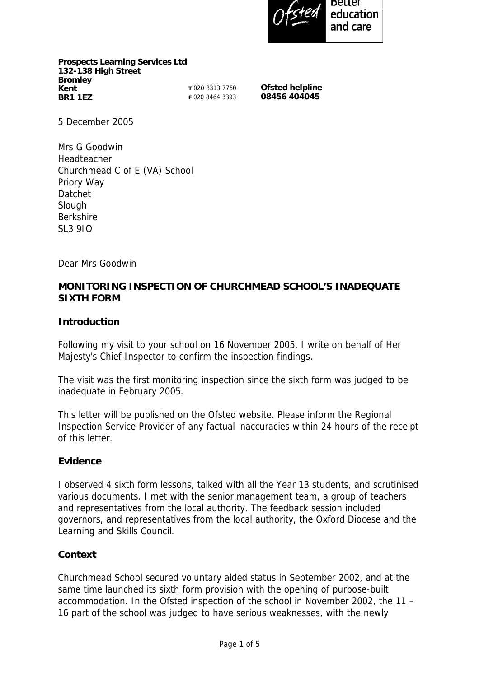

**Prospects Learning Services Ltd 132-138 High Street Bromley Kent BR1 1EZ** 

**T** 020 8313 7760 **F** 020 8464 3393 **Ofsted helpline 08456 404045** 

5 December 2005

Mrs G Goodwin Headteacher Churchmead C of E (VA) School Priory Way Datchet Slough Berkshire SL3 9JQ

Dear Mrs Goodwin

### **MONITORING INSPECTION OF CHURCHMEAD SCHOOL'S INADEQUATE SIXTH FORM**

#### **Introduction**

Following my visit to your school on 16 November 2005, I write on behalf of Her Majesty's Chief Inspector to confirm the inspection findings.

The visit was the first monitoring inspection since the sixth form was judged to be inadequate in February 2005.

This letter will be published on the Ofsted website. Please inform the Regional Inspection Service Provider of any factual inaccuracies within 24 hours of the receipt of this letter.

#### **Evidence**

I observed 4 sixth form lessons, talked with all the Year 13 students, and scrutinised various documents. I met with the senior management team, a group of teachers and representatives from the local authority. The feedback session included governors, and representatives from the local authority, the Oxford Diocese and the Learning and Skills Council.

#### **Context**

Churchmead School secured voluntary aided status in September 2002, and at the same time launched its sixth form provision with the opening of purpose-built accommodation. In the Ofsted inspection of the school in November 2002, the 11 – 16 part of the school was judged to have serious weaknesses, with the newly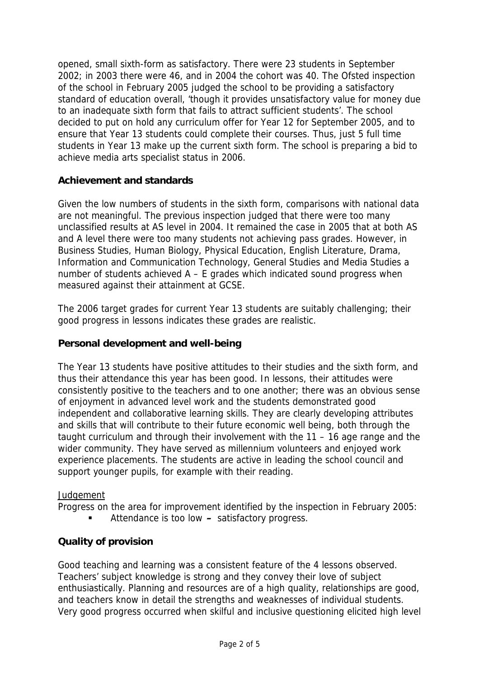opened, small sixth-form as satisfactory. There were 23 students in September 2002; in 2003 there were 46, and in 2004 the cohort was 40. The Ofsted inspection of the school in February 2005 judged the school to be providing a satisfactory standard of education overall, 'though it provides unsatisfactory value for money due to an inadequate sixth form that fails to attract sufficient students'. The school decided to put on hold any curriculum offer for Year 12 for September 2005, and to ensure that Year 13 students could complete their courses. Thus, just 5 full time students in Year 13 make up the current sixth form. The school is preparing a bid to achieve media arts specialist status in 2006.

# **Achievement and standards**

Given the low numbers of students in the sixth form, comparisons with national data are not meaningful. The previous inspection judged that there were too many unclassified results at AS level in 2004. It remained the case in 2005 that at both AS and A level there were too many students not achieving pass grades. However, in Business Studies, Human Biology, Physical Education, English Literature, Drama, Information and Communication Technology, General Studies and Media Studies a number of students achieved A – E grades which indicated sound progress when measured against their attainment at GCSE.

The 2006 target grades for current Year 13 students are suitably challenging; their good progress in lessons indicates these grades are realistic.

# **Personal development and well-being**

The Year 13 students have positive attitudes to their studies and the sixth form, and thus their attendance this year has been good. In lessons, their attitudes were consistently positive to the teachers and to one another; there was an obvious sense of enjoyment in advanced level work and the students demonstrated good independent and collaborative learning skills. They are clearly developing attributes and skills that will contribute to their future economic well being, both through the taught curriculum and through their involvement with the 11 – 16 age range and the wider community. They have served as millennium volunteers and enjoyed work experience placements. The students are active in leading the school council and support younger pupils, for example with their reading.

# **Judgement**

Progress on the area for improvement identified by the inspection in February 2005:

Attendance is too low **–** satisfactory progress.

# **Quality of provision**

Good teaching and learning was a consistent feature of the 4 lessons observed. Teachers' subject knowledge is strong and they convey their love of subject enthusiastically. Planning and resources are of a high quality, relationships are good, and teachers know in detail the strengths and weaknesses of individual students. Very good progress occurred when skilful and inclusive questioning elicited high level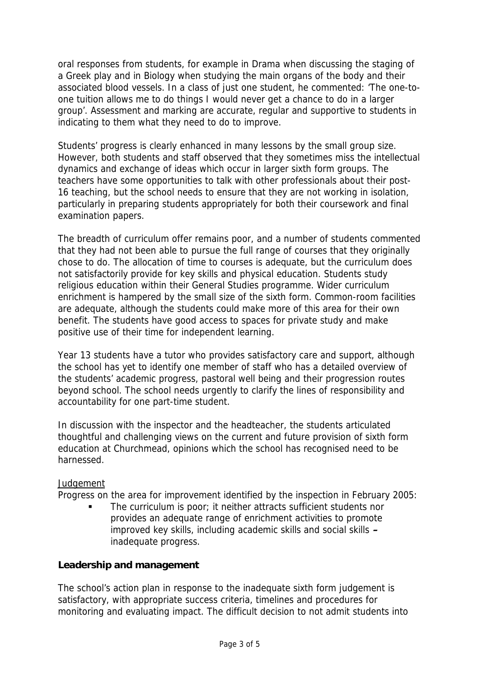oral responses from students, for example in Drama when discussing the staging of a Greek play and in Biology when studying the main organs of the body and their associated blood vessels. In a class of just one student, he commented: 'The one-toone tuition allows me to do things I would never get a chance to do in a larger group'. Assessment and marking are accurate, regular and supportive to students in indicating to them what they need to do to improve.

Students' progress is clearly enhanced in many lessons by the small group size. However, both students and staff observed that they sometimes miss the intellectual dynamics and exchange of ideas which occur in larger sixth form groups. The teachers have some opportunities to talk with other professionals about their post-16 teaching, but the school needs to ensure that they are not working in isolation, particularly in preparing students appropriately for both their coursework and final examination papers.

The breadth of curriculum offer remains poor, and a number of students commented that they had not been able to pursue the full range of courses that they originally chose to do. The allocation of time to courses is adequate, but the curriculum does not satisfactorily provide for key skills and physical education. Students study religious education within their General Studies programme. Wider curriculum enrichment is hampered by the small size of the sixth form. Common-room facilities are adequate, although the students could make more of this area for their own benefit. The students have good access to spaces for private study and make positive use of their time for independent learning.

Year 13 students have a tutor who provides satisfactory care and support, although the school has yet to identify one member of staff who has a detailed overview of the students' academic progress, pastoral well being and their progression routes beyond school. The school needs urgently to clarify the lines of responsibility and accountability for one part-time student.

In discussion with the inspector and the headteacher, the students articulated thoughtful and challenging views on the current and future provision of sixth form education at Churchmead, opinions which the school has recognised need to be harnessed.

#### **Judgement**

Progress on the area for improvement identified by the inspection in February 2005:

 The curriculum is poor; it neither attracts sufficient students nor provides an adequate range of enrichment activities to promote improved key skills, including academic skills and social skills **–**  inadequate progress.

#### **Leadership and management**

The school's action plan in response to the inadequate sixth form judgement is satisfactory, with appropriate success criteria, timelines and procedures for monitoring and evaluating impact. The difficult decision to not admit students into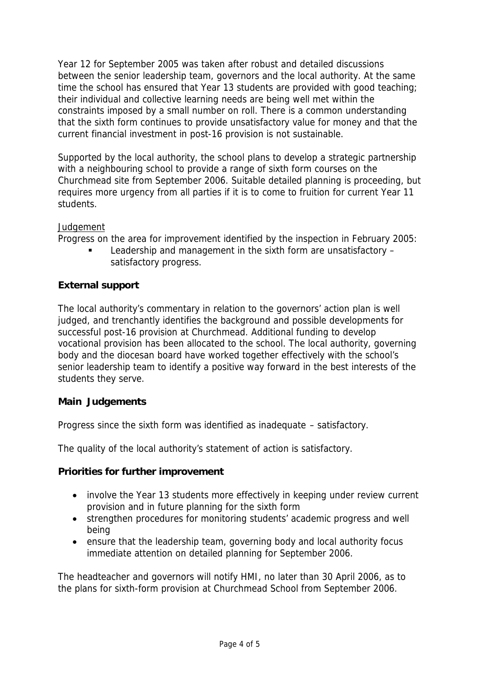Year 12 for September 2005 was taken after robust and detailed discussions between the senior leadership team, governors and the local authority. At the same time the school has ensured that Year 13 students are provided with good teaching; their individual and collective learning needs are being well met within the constraints imposed by a small number on roll. There is a common understanding that the sixth form continues to provide unsatisfactory value for money and that the current financial investment in post-16 provision is not sustainable.

Supported by the local authority, the school plans to develop a strategic partnership with a neighbouring school to provide a range of sixth form courses on the Churchmead site from September 2006. Suitable detailed planning is proceeding, but requires more urgency from all parties if it is to come to fruition for current Year 11 students.

### **Judgement**

Progress on the area for improvement identified by the inspection in February 2005:

 Leadership and management in the sixth form are unsatisfactory – satisfactory progress.

# **External support**

The local authority's commentary in relation to the governors' action plan is well judged, and trenchantly identifies the background and possible developments for successful post-16 provision at Churchmead. Additional funding to develop vocational provision has been allocated to the school. The local authority, governing body and the diocesan board have worked together effectively with the school's senior leadership team to identify a positive way forward in the best interests of the students they serve.

# **Main Judgements**

Progress since the sixth form was identified as inadequate – satisfactory.

The quality of the local authority's statement of action is satisfactory.

#### **Priorities for further improvement**

- involve the Year 13 students more effectively in keeping under review current provision and in future planning for the sixth form
- strengthen procedures for monitoring students' academic progress and well being
- ensure that the leadership team, governing body and local authority focus immediate attention on detailed planning for September 2006.

The headteacher and governors will notify HMI, no later than 30 April 2006, as to the plans for sixth-form provision at Churchmead School from September 2006.